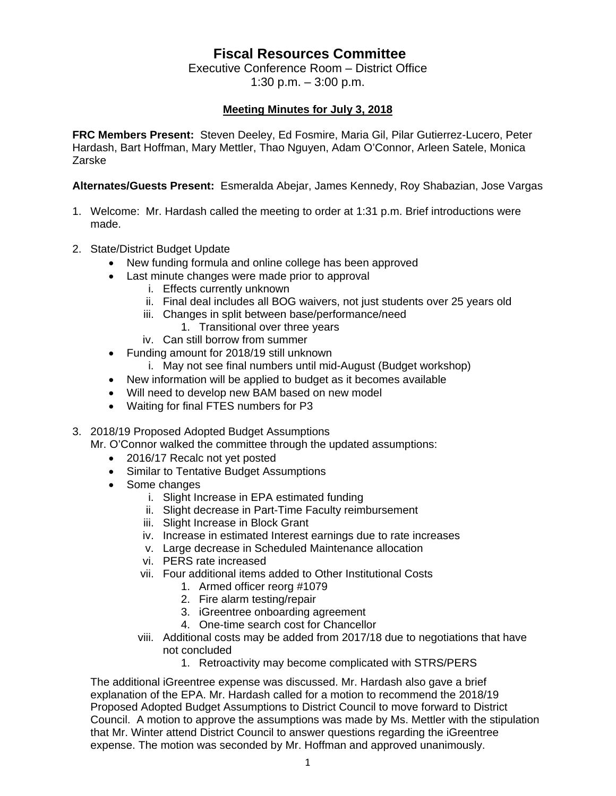## **Fiscal Resources Committee**

Executive Conference Room – District Office 1:30 p.m. – 3:00 p.m.

## **Meeting Minutes for July 3, 2018**

**FRC Members Present:** Steven Deeley, Ed Fosmire, Maria Gil, Pilar Gutierrez-Lucero, Peter Hardash, Bart Hoffman, Mary Mettler, Thao Nguyen, Adam O'Connor, Arleen Satele, Monica Zarske

**Alternates/Guests Present:** Esmeralda Abejar, James Kennedy, Roy Shabazian, Jose Vargas

- 1. Welcome: Mr. Hardash called the meeting to order at 1:31 p.m. Brief introductions were made.
- 2. State/District Budget Update
	- New funding formula and online college has been approved
	- Last minute changes were made prior to approval
		- i. Effects currently unknown
		- ii. Final deal includes all BOG waivers, not just students over 25 years old
		- iii. Changes in split between base/performance/need
			- 1. Transitional over three years
		- iv. Can still borrow from summer
	- Funding amount for 2018/19 still unknown
		- i. May not see final numbers until mid-August (Budget workshop)
	- New information will be applied to budget as it becomes available
	- Will need to develop new BAM based on new model
	- Waiting for final FTES numbers for P3
- 3. 2018/19 Proposed Adopted Budget Assumptions
	- Mr. O'Connor walked the committee through the updated assumptions:
		- 2016/17 Recalc not yet posted
		- Similar to Tentative Budget Assumptions
		- Some changes
			- i. Slight Increase in EPA estimated funding
			- ii. Slight decrease in Part-Time Faculty reimbursement
			- iii. Slight Increase in Block Grant
			- iv. Increase in estimated Interest earnings due to rate increases
			- v. Large decrease in Scheduled Maintenance allocation
			- vi. PERS rate increased
			- vii. Four additional items added to Other Institutional Costs
				- 1. Armed officer reorg #1079
				- 2. Fire alarm testing/repair
				- 3. iGreentree onboarding agreement
				- 4. One-time search cost for Chancellor
			- viii. Additional costs may be added from 2017/18 due to negotiations that have not concluded
				- 1. Retroactivity may become complicated with STRS/PERS

The additional iGreentree expense was discussed. Mr. Hardash also gave a brief explanation of the EPA. Mr. Hardash called for a motion to recommend the 2018/19 Proposed Adopted Budget Assumptions to District Council to move forward to District Council. A motion to approve the assumptions was made by Ms. Mettler with the stipulation that Mr. Winter attend District Council to answer questions regarding the iGreentree expense. The motion was seconded by Mr. Hoffman and approved unanimously.